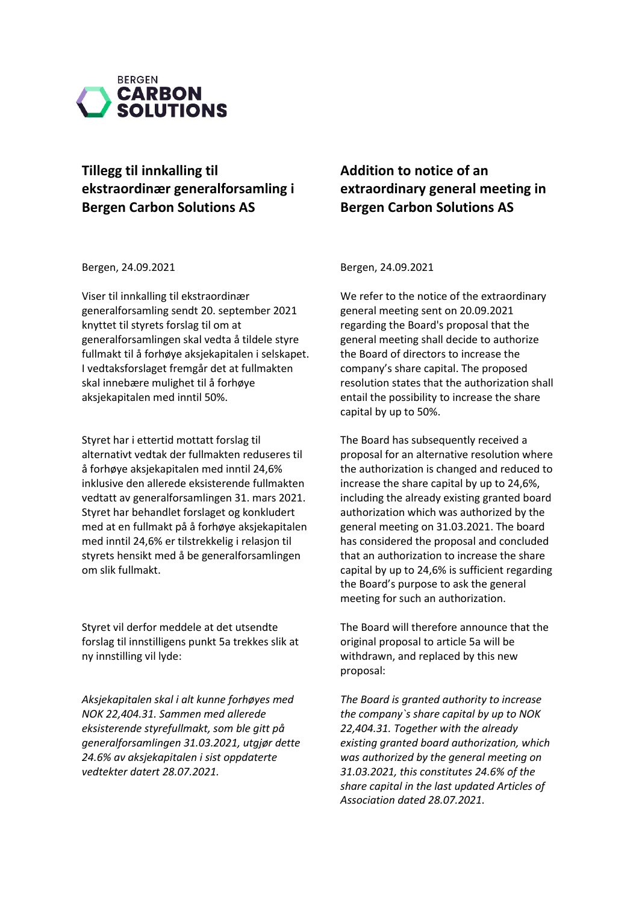

# **Tillegg til innkalling til ekstraordinær generalforsamling i Bergen Carbon Solutions AS**

Bergen, 24.09.2021

Viser til innkalling til ekstraordinær generalforsamling sendt 20. september 2021 knyttet til styrets forslag til om at generalforsamlingen skal vedta å tildele styre fullmakt til å forhøye aksjekapitalen i selskapet. I vedtaksforslaget fremgår det at fullmakten skal innebære mulighet til å forhøye aksjekapitalen med inntil 50%.

Styret har i ettertid mottatt forslag til alternativt vedtak der fullmakten reduseres til å forhøye aksjekapitalen med inntil 24,6% inklusive den allerede eksisterende fullmakten vedtatt av generalforsamlingen 31. mars 2021. Styret har behandlet forslaget og konkludert med at en fullmakt på å forhøye aksjekapitalen med inntil 24,6% er tilstrekkelig i relasjon til styrets hensikt med å be generalforsamlingen om slik fullmakt.

Styret vil derfor meddele at det utsendte forslag til innstilligens punkt 5a trekkes slik at ny innstilling vil lyde:

*Aksjekapitalen skal i alt kunne forhøyes med NOK 22,404.31. Sammen med allerede eksisterende styrefullmakt, som ble gitt på generalforsamlingen 31.03.2021, utgjør dette 24.6% av aksjekapitalen i sist oppdaterte vedtekter datert 28.07.2021.* 

## **Addition to notice of an extraordinary general meeting in Bergen Carbon Solutions AS**

Bergen, 24.09.2021

We refer to the notice of the extraordinary general meeting sent on 20.09.2021 regarding the Board's proposal that the general meeting shall decide to authorize the Board of directors to increase the company's share capital. The proposed resolution states that the authorization shall entail the possibility to increase the share capital by up to 50%.

The Board has subsequently received a proposal for an alternative resolution where the authorization is changed and reduced to increase the share capital by up to 24,6%, including the already existing granted board authorization which was authorized by the general meeting on 31.03.2021. The board has considered the proposal and concluded that an authorization to increase the share capital by up to 24,6% is sufficient regarding the Board's purpose to ask the general meeting for such an authorization.

The Board will therefore announce that the original proposal to article 5a will be withdrawn, and replaced by this new proposal:

*The Board is granted authority to increase the company`s share capital by up to NOK 22,404.31. Together with the already existing granted board authorization, which was authorized by the general meeting on 31.03.2021, this constitutes 24.6% of the share capital in the last updated Articles of Association dated 28.07.2021.*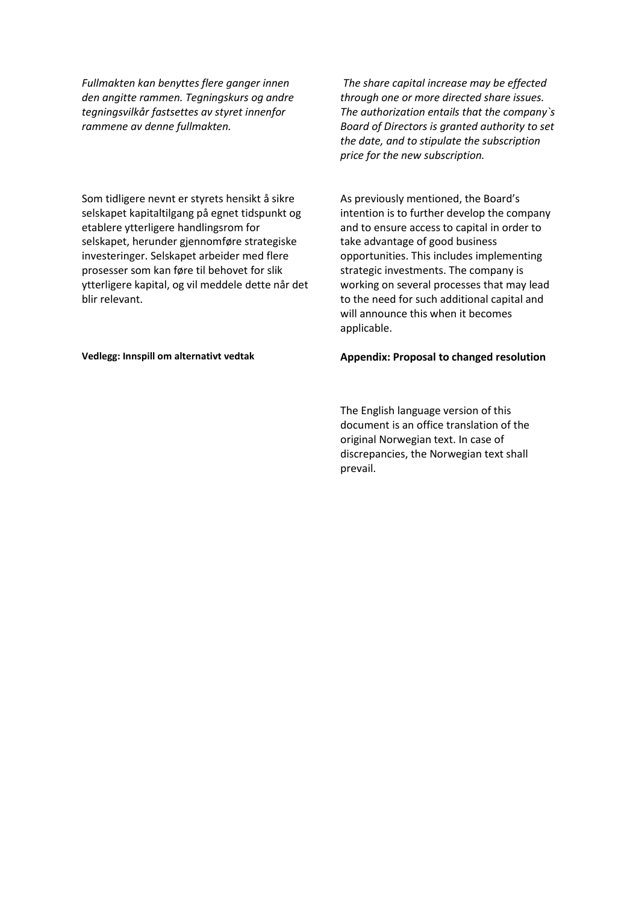*Fullmakten kan benyttes flere ganger innen den angitte rammen. Tegningskurs og andre tegningsvilkår fastsettes av styret innenfor rammene av denne fullmakten.*

Som tidligere nevnt er styrets hensikt å sikre selskapet kapitaltilgang på egnet tidspunkt og etablere ytterligere handlingsrom for selskapet, herunder gjennomføre strategiske investeringer. Selskapet arbeider med flere prosesser som kan føre til behovet for slik ytterligere kapital, og vil meddele dette når det blir relevant.

*The share capital increase may be effected through one or more directed share issues. The authorization entails that the company`s Board of Directors is granted authority to set the date, and to stipulate the subscription price for the new subscription.*

As previously mentioned, the Board's intention is to further develop the company and to ensure access to capital in order to take advantage of good business opportunities. This includes implementing strategic investments. The company is working on several processes that may lead to the need for such additional capital and will announce this when it becomes applicable.

### Vedlegg: Innspill om alternativt vedtak **Appendix: Proposal to changed resolution**

The English language version of this document is an office translation of the original Norwegian text. In case of discrepancies, the Norwegian text shall prevail.